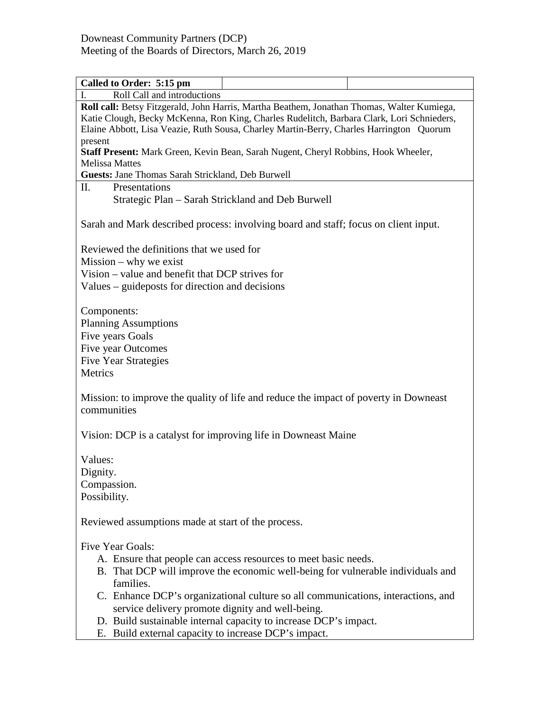| Called to Order: 5:15 pm                                                                   |  |  |  |  |
|--------------------------------------------------------------------------------------------|--|--|--|--|
| Roll Call and introductions<br>I.                                                          |  |  |  |  |
| Roll call: Betsy Fitzgerald, John Harris, Martha Beathem, Jonathan Thomas, Walter Kumiega, |  |  |  |  |
| Katie Clough, Becky McKenna, Ron King, Charles Rudelitch, Barbara Clark, Lori Schnieders,  |  |  |  |  |
| Elaine Abbott, Lisa Veazie, Ruth Sousa, Charley Martin-Berry, Charles Harrington Quorum    |  |  |  |  |
| present                                                                                    |  |  |  |  |
| Staff Present: Mark Green, Kevin Bean, Sarah Nugent, Cheryl Robbins, Hook Wheeler,         |  |  |  |  |
| <b>Melissa Mattes</b>                                                                      |  |  |  |  |
| Guests: Jane Thomas Sarah Strickland, Deb Burwell<br>Presentations<br>П.                   |  |  |  |  |
| Strategic Plan – Sarah Strickland and Deb Burwell                                          |  |  |  |  |
|                                                                                            |  |  |  |  |
| Sarah and Mark described process: involving board and staff; focus on client input.        |  |  |  |  |
| Reviewed the definitions that we used for                                                  |  |  |  |  |
| $Mission - why we exist$                                                                   |  |  |  |  |
| Vision – value and benefit that DCP strives for                                            |  |  |  |  |
| Values – guideposts for direction and decisions                                            |  |  |  |  |
| Components:                                                                                |  |  |  |  |
| <b>Planning Assumptions</b>                                                                |  |  |  |  |
| Five years Goals                                                                           |  |  |  |  |
| Five year Outcomes                                                                         |  |  |  |  |
| <b>Five Year Strategies</b>                                                                |  |  |  |  |
| Metrics                                                                                    |  |  |  |  |
|                                                                                            |  |  |  |  |
| Mission: to improve the quality of life and reduce the impact of poverty in Downeast       |  |  |  |  |
| communities                                                                                |  |  |  |  |
|                                                                                            |  |  |  |  |
| Vision: DCP is a catalyst for improving life in Downeast Maine                             |  |  |  |  |
|                                                                                            |  |  |  |  |
| Values:                                                                                    |  |  |  |  |
| Dignity.                                                                                   |  |  |  |  |
| Compassion.                                                                                |  |  |  |  |
| Possibility.                                                                               |  |  |  |  |
|                                                                                            |  |  |  |  |
| Reviewed assumptions made at start of the process.                                         |  |  |  |  |
|                                                                                            |  |  |  |  |
| <b>Five Year Goals:</b>                                                                    |  |  |  |  |
| A. Ensure that people can access resources to meet basic needs.                            |  |  |  |  |
| B. That DCP will improve the economic well-being for vulnerable individuals and            |  |  |  |  |
| families.                                                                                  |  |  |  |  |
| C. Enhance DCP's organizational culture so all communications, interactions, and           |  |  |  |  |
| service delivery promote dignity and well-being.                                           |  |  |  |  |
| D. Build sustainable internal capacity to increase DCP's impact.                           |  |  |  |  |
| E. Build external capacity to increase DCP's impact.                                       |  |  |  |  |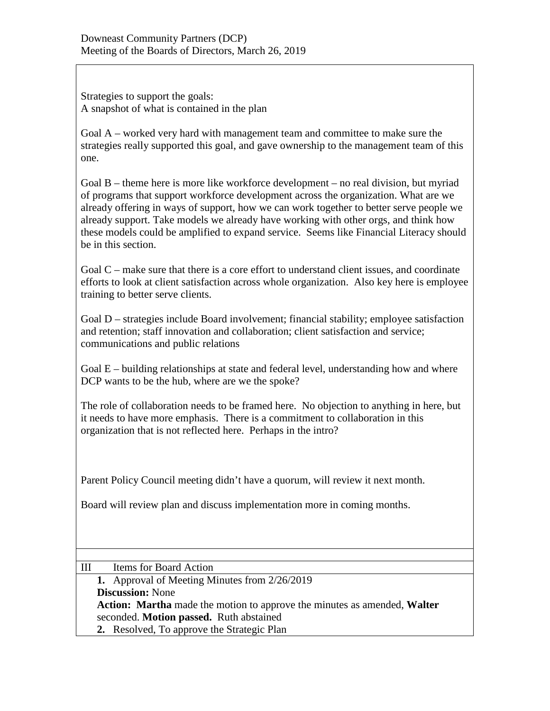Strategies to support the goals: A snapshot of what is contained in the plan

Goal A – worked very hard with management team and committee to make sure the strategies really supported this goal, and gave ownership to the management team of this one.

Goal B – theme here is more like workforce development – no real division, but myriad of programs that support workforce development across the organization. What are we already offering in ways of support, how we can work together to better serve people we already support. Take models we already have working with other orgs, and think how these models could be amplified to expand service. Seems like Financial Literacy should be in this section.

Goal C – make sure that there is a core effort to understand client issues, and coordinate efforts to look at client satisfaction across whole organization. Also key here is employee training to better serve clients.

Goal D – strategies include Board involvement; financial stability; employee satisfaction and retention; staff innovation and collaboration; client satisfaction and service; communications and public relations

Goal E – building relationships at state and federal level, understanding how and where DCP wants to be the hub, where are we the spoke?

The role of collaboration needs to be framed here. No objection to anything in here, but it needs to have more emphasis. There is a commitment to collaboration in this organization that is not reflected here. Perhaps in the intro?

Parent Policy Council meeting didn't have a quorum, will review it next month.

Board will review plan and discuss implementation more in coming months.

| Ш                       | Items for Board Action                                                          |  |  |
|-------------------------|---------------------------------------------------------------------------------|--|--|
|                         | <b>1.</b> Approval of Meeting Minutes from 2/26/2019                            |  |  |
| <b>Discussion:</b> None |                                                                                 |  |  |
|                         | <b>Action:</b> Martha made the motion to approve the minutes as amended, Walter |  |  |
|                         | seconded. Motion passed. Ruth abstained                                         |  |  |
|                         | 2. Resolved, To approve the Strategic Plan                                      |  |  |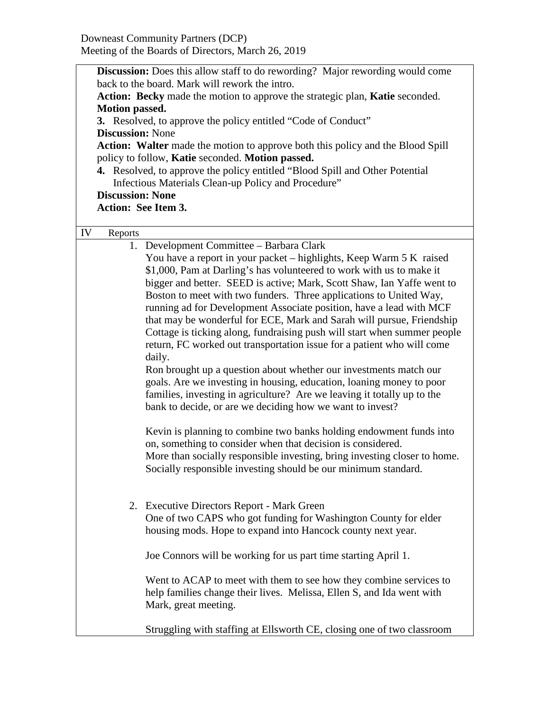| Discussion: Does this allow staff to do rewording? Major rewording would come         |  |  |  |  |
|---------------------------------------------------------------------------------------|--|--|--|--|
| back to the board. Mark will rework the intro.                                        |  |  |  |  |
| Action: Becky made the motion to approve the strategic plan, Katie seconded.          |  |  |  |  |
| <b>Motion passed.</b>                                                                 |  |  |  |  |
| <b>3.</b> Resolved, to approve the policy entitled "Code of Conduct"                  |  |  |  |  |
| <b>Discussion: None</b>                                                               |  |  |  |  |
| <b>Action:</b> Walter made the motion to approve both this policy and the Blood Spill |  |  |  |  |
| policy to follow, Katie seconded. Motion passed.                                      |  |  |  |  |
| 4. Resolved, to approve the policy entitled "Blood Spill and Other Potential          |  |  |  |  |
| Infectious Materials Clean-up Policy and Procedure"                                   |  |  |  |  |
| <b>Discussion: None</b>                                                               |  |  |  |  |
| <b>Action: See Item 3.</b>                                                            |  |  |  |  |
|                                                                                       |  |  |  |  |
| IV<br>Reports                                                                         |  |  |  |  |
| 1. Development Committee – Barbara Clark                                              |  |  |  |  |
|                                                                                       |  |  |  |  |
| You have a report in your packet – highlights, Keep Warm 5 K raised                   |  |  |  |  |
| \$1,000, Pam at Darling's has volunteered to work with us to make it                  |  |  |  |  |
| bigger and better. SEED is active; Mark, Scott Shaw, Ian Yaffe went to                |  |  |  |  |
| Boston to meet with two funders. Three applications to United Way,                    |  |  |  |  |
| running ad for Development Associate position, have a lead with MCF                   |  |  |  |  |
| that may be wonderful for ECE, Mark and Sarah will pursue, Friendship                 |  |  |  |  |
| Cottage is ticking along, fundraising push will start when summer people              |  |  |  |  |
| return, FC worked out transportation issue for a patient who will come                |  |  |  |  |
| daily.                                                                                |  |  |  |  |
| Ron brought up a question about whether our investments match our                     |  |  |  |  |
| goals. Are we investing in housing, education, loaning money to poor                  |  |  |  |  |
| families, investing in agriculture? Are we leaving it totally up to the               |  |  |  |  |
| bank to decide, or are we deciding how we want to invest?                             |  |  |  |  |
|                                                                                       |  |  |  |  |
| Kevin is planning to combine two banks holding endowment funds into                   |  |  |  |  |
| on, something to consider when that decision is considered.                           |  |  |  |  |
|                                                                                       |  |  |  |  |
| More than socially responsible investing, bring investing closer to home.             |  |  |  |  |
| Socially responsible investing should be our minimum standard.                        |  |  |  |  |
|                                                                                       |  |  |  |  |
|                                                                                       |  |  |  |  |
| 2. Executive Directors Report - Mark Green                                            |  |  |  |  |
| One of two CAPS who got funding for Washington County for elder                       |  |  |  |  |
| housing mods. Hope to expand into Hancock county next year.                           |  |  |  |  |
|                                                                                       |  |  |  |  |
| Joe Connors will be working for us part time starting April 1.                        |  |  |  |  |
|                                                                                       |  |  |  |  |
| Went to ACAP to meet with them to see how they combine services to                    |  |  |  |  |
| help families change their lives. Melissa, Ellen S, and Ida went with                 |  |  |  |  |
| Mark, great meeting.                                                                  |  |  |  |  |
|                                                                                       |  |  |  |  |
| Struggling with staffing at Ellsworth CE, closing one of two classroom                |  |  |  |  |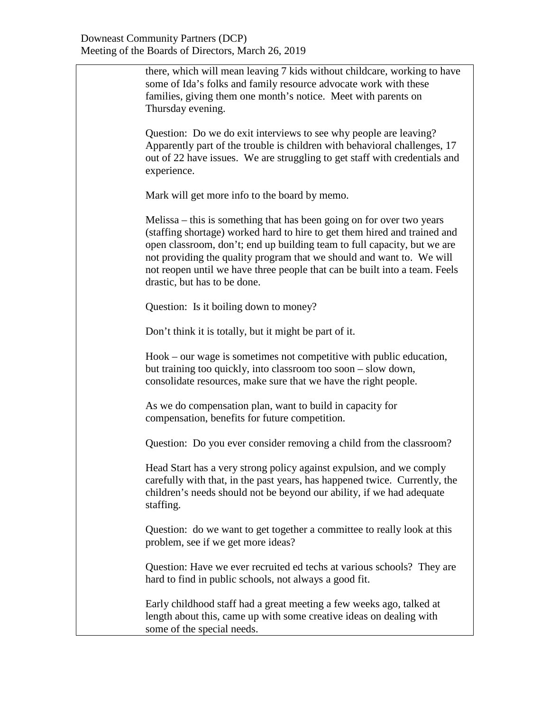there, which will mean leaving 7 kids without childcare, working to have some of Ida's folks and family resource advocate work with these families, giving them one month's notice. Meet with parents on Thursday evening. Question: Do we do exit interviews to see why people are leaving? Apparently part of the trouble is children with behavioral challenges, 17 out of 22 have issues. We are struggling to get staff with credentials and experience. Mark will get more info to the board by memo. Melissa – this is something that has been going on for over two years (staffing shortage) worked hard to hire to get them hired and trained and open classroom, don't; end up building team to full capacity, but we are not providing the quality program that we should and want to. We will not reopen until we have three people that can be built into a team. Feels drastic, but has to be done. Question: Is it boiling down to money? Don't think it is totally, but it might be part of it. Hook – our wage is sometimes not competitive with public education, but training too quickly, into classroom too soon – slow down, consolidate resources, make sure that we have the right people. As we do compensation plan, want to build in capacity for compensation, benefits for future competition. Question: Do you ever consider removing a child from the classroom? Head Start has a very strong policy against expulsion, and we comply carefully with that, in the past years, has happened twice. Currently, the children's needs should not be beyond our ability, if we had adequate staffing. Question: do we want to get together a committee to really look at this problem, see if we get more ideas? Question: Have we ever recruited ed techs at various schools? They are hard to find in public schools, not always a good fit. Early childhood staff had a great meeting a few weeks ago, talked at length about this, came up with some creative ideas on dealing with some of the special needs.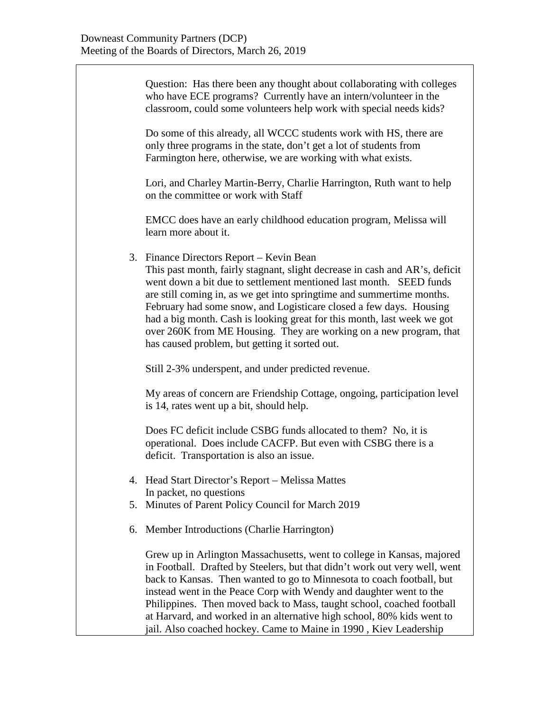Question: Has there been any thought about collaborating with colleges who have ECE programs? Currently have an intern/volunteer in the classroom, could some volunteers help work with special needs kids? Do some of this already, all WCCC students work with HS, there are only three programs in the state, don't get a lot of students from Farmington here, otherwise, we are working with what exists. Lori, and Charley Martin-Berry, Charlie Harrington, Ruth want to help on the committee or work with Staff EMCC does have an early childhood education program, Melissa will learn more about it. 3. Finance Directors Report – Kevin Bean This past month, fairly stagnant, slight decrease in cash and AR's, deficit went down a bit due to settlement mentioned last month. SEED funds are still coming in, as we get into springtime and summertime months. February had some snow, and Logisticare closed a few days. Housing had a big month. Cash is looking great for this month, last week we got over 260K from ME Housing. They are working on a new program, that has caused problem, but getting it sorted out. Still 2-3% underspent, and under predicted revenue. My areas of concern are Friendship Cottage, ongoing, participation level is 14, rates went up a bit, should help. Does FC deficit include CSBG funds allocated to them? No, it is operational. Does include CACFP. But even with CSBG there is a deficit. Transportation is also an issue. 4. Head Start Director's Report – Melissa Mattes In packet, no questions 5. Minutes of Parent Policy Council for March 2019 6. Member Introductions (Charlie Harrington) Grew up in Arlington Massachusetts, went to college in Kansas, majored in Football. Drafted by Steelers, but that didn't work out very well, went back to Kansas. Then wanted to go to Minnesota to coach football, but instead went in the Peace Corp with Wendy and daughter went to the Philippines. Then moved back to Mass, taught school, coached football at Harvard, and worked in an alternative high school, 80% kids went to jail. Also coached hockey. Came to Maine in 1990 , Kiev Leadership